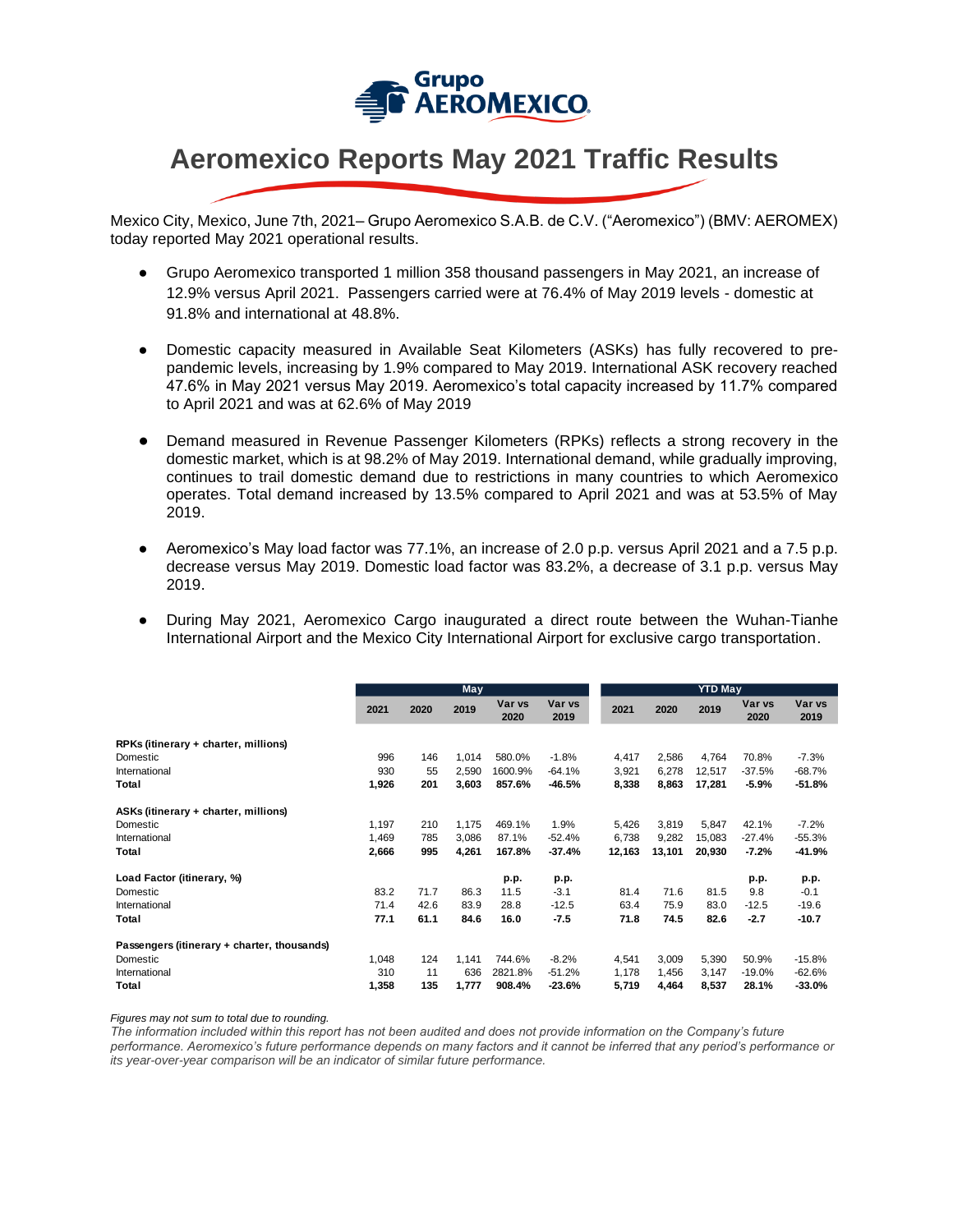

## **Aeromexico Reports May 2021 Traffic Results**

Mexico City, Mexico, June 7th, 2021– Grupo Aeromexico S.A.B. de C.V. ("Aeromexico") (BMV: AEROMEX) today reported May 2021 operational results.

- Grupo Aeromexico transported 1 million 358 thousand passengers in May 2021, an increase of 12.9% versus April 2021. Passengers carried were at 76.4% of May 2019 levels - domestic at 91.8% and international at 48.8%.
- Domestic capacity measured in Available Seat Kilometers (ASKs) has fully recovered to prepandemic levels, increasing by 1.9% compared to May 2019. International ASK recovery reached 47.6% in May 2021 versus May 2019. Aeromexico's total capacity increased by 11.7% compared to April 2021 and was at 62.6% of May 2019
- Demand measured in Revenue Passenger Kilometers (RPKs) reflects a strong recovery in the domestic market, which is at 98.2% of May 2019. International demand, while gradually improving, continues to trail domestic demand due to restrictions in many countries to which Aeromexico operates. Total demand increased by 13.5% compared to April 2021 and was at 53.5% of May 2019.
- Aeromexico's May load factor was 77.1%, an increase of 2.0 p.p. versus April 2021 and a 7.5 p.p. decrease versus May 2019. Domestic load factor was 83.2%, a decrease of 3.1 p.p. versus May 2019.
- During May 2021, Aeromexico Cargo inaugurated a direct route between the Wuhan-Tianhe International Airport and the Mexico City International Airport for exclusive cargo transportation.

|                                             | <b>May</b> |      |       |                |                | <b>YTD May</b> |        |        |                |                |
|---------------------------------------------|------------|------|-------|----------------|----------------|----------------|--------|--------|----------------|----------------|
|                                             | 2021       | 2020 | 2019  | Var vs<br>2020 | Var vs<br>2019 | 2021           | 2020   | 2019   | Var vs<br>2020 | Var vs<br>2019 |
| RPKs (itinerary + charter, millions)        |            |      |       |                |                |                |        |        |                |                |
| Domestic                                    | 996        | 146  | 1,014 | 580.0%         | $-1.8%$        | 4,417          | 2,586  | 4,764  | 70.8%          | $-7.3%$        |
| International                               | 930        | 55   | 2,590 | 1600.9%        | $-64.1%$       | 3,921          | 6,278  | 12,517 | $-37.5%$       | $-68.7%$       |
| Total                                       | 1,926      | 201  | 3,603 | 857.6%         | -46.5%         | 8,338          | 8,863  | 17,281 | $-5.9%$        | $-51.8%$       |
| ASKs (itinerary + charter, millions)        |            |      |       |                |                |                |        |        |                |                |
| Domestic                                    | 1,197      | 210  | 1,175 | 469.1%         | 1.9%           | 5,426          | 3,819  | 5,847  | 42.1%          | $-7.2%$        |
| International                               | 1,469      | 785  | 3,086 | 87.1%          | $-52.4%$       | 6,738          | 9,282  | 15,083 | $-27.4%$       | $-55.3%$       |
| Total                                       | 2,666      | 995  | 4,261 | 167.8%         | $-37.4%$       | 12,163         | 13,101 | 20,930 | $-7.2%$        | $-41.9%$       |
| Load Factor (itinerary, %)                  |            |      |       | p.p.           | p.p.           |                |        |        | p.p.           | p.p.           |
| Domestic                                    | 83.2       | 71.7 | 86.3  | 11.5           | $-3.1$         | 81.4           | 71.6   | 81.5   | 9.8            | $-0.1$         |
| International                               | 71.4       | 42.6 | 83.9  | 28.8           | $-12.5$        | 63.4           | 75.9   | 83.0   | $-12.5$        | $-19.6$        |
| Total                                       | 77.1       | 61.1 | 84.6  | 16.0           | $-7.5$         | 71.8           | 74.5   | 82.6   | $-2.7$         | $-10.7$        |
| Passengers (itinerary + charter, thousands) |            |      |       |                |                |                |        |        |                |                |
| Domestic                                    | 1,048      | 124  | 1,141 | 744.6%         | $-8.2%$        | 4,541          | 3,009  | 5,390  | 50.9%          | $-15.8%$       |
| International                               | 310        | 11   | 636   | 2821.8%        | $-51.2%$       | 1,178          | 1,456  | 3,147  | $-19.0%$       | $-62.6%$       |
| Total                                       | 1,358      | 135  | 1,777 | 908.4%         | $-23.6%$       | 5,719          | 4,464  | 8,537  | 28.1%          | $-33.0%$       |

*Figures may not sum to total due to rounding.*

*The information included within this report has not been audited and does not provide information on the Company's future performance. Aeromexico's future performance depends on many factors and it cannot be inferred that any period's performance or its year-over-year comparison will be an indicator of similar future performance.*